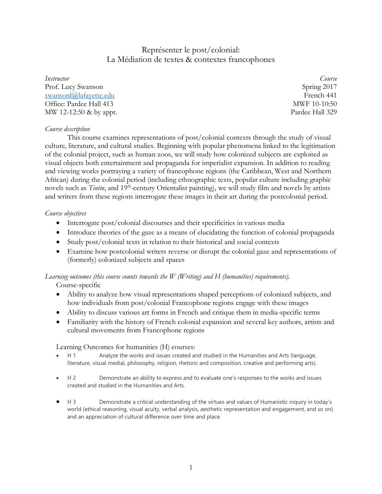# Représenter le post/colonial: La Médiation de textes & contextes francophones

*Instructor Course* Prof. Lucy Swanson Spring 2017 [swansonl@lafayette.edu](mailto:swansonl@lafayette.edu) French 441 Office: Pardee Hall 413 MWF 10-10:50 MW 12-12:50 & by appt. **Particle Hall 329** 

## *Course description*

This course examines representations of post/colonial contexts through the study of visual culture, literature, and cultural studies. Beginning with popular phenomena linked to the legitimation of the colonial project, such as human zoos, we will study how colonized subjects are exploited as visual objects both entertainment and propaganda for imperialist expansion. In addition to reading and viewing works portraying a variety of francophone regions (the Caribbean, West and Northern African) during the colonial period (including ethnographic texts, popular culture including graphic novels such as *Tintin*, and 19<sup>th</sup>-century Orientalist painting), we will study film and novels by artists and writers from these regions interrogate these images in their art during the postcolonial period.

## *Course objectives*

- Interrogate post/colonial discourses and their specificities in various media
- Introduce theories of the gaze as a means of elucidating the function of colonial propaganda
- Study post/colonial texts in relation to their historical and social contexts
- Examine how postcolonial writers reverse or disrupt the colonial gaze and representations of (formerly) colonized subjects and spaces

# *Learning outcomes (this course counts towards the W (Writing) and H (humanities) requirements).*

Course-specific

- Ability to analyze how visual representations shaped perceptions of colonized subjects, and how individuals from post/colonial Francophone regions engage with these images
- Ability to discuss various art forms in French and critique them in media-specific terms
- Familiarity with the history of French colonial expansion and several key authors, artists and cultural movements from Francophone regions

Learning Outcomes for humanities (H) courses:

- H 1 Analyze the works and issues created and studied in the Humanities and Arts (language, literature, visual medial, philosophy, religion, rhetoric and composition, creative and performing arts).
- H 2 Demonstrate an ability to express and to evaluate one's responses to the works and issues created and studied in the Humanities and Arts.
- H 3 Demonstrate a critical understanding of the virtues and values of Humanistic inquiry in today's world (ethical reasoning, visual acuity, verbal analysis, aesthetic representation and engagement, and so on) and an appreciation of cultural difference over time and place.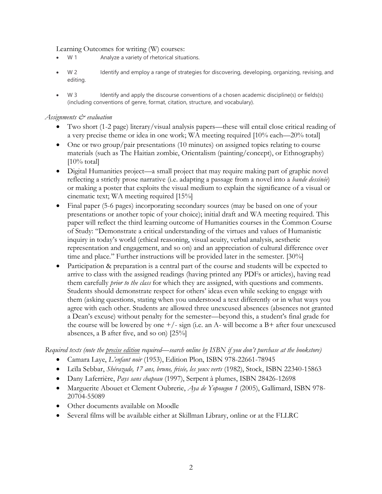Learning Outcomes for writing (W) courses:

- W 1 Analyze a variety of rhetorical situations.
- W 2 Identify and employ a range of strategies for discovering, developing, organizing, revising, and editing.
- W 3 Identify and apply the discourse conventions of a chosen academic discipline(s) or fields(s) (including conventions of genre, format, citation, structure, and vocabulary).

# *Assignments & evaluation*

- Two short (1-2 page) literary/visual analysis papers—these will entail close critical reading of a very precise theme or idea in one work; WA meeting required [10% each—20% total]
- One or two group/pair presentations (10 minutes) on assigned topics relating to course materials (such as The Haitian zombie, Orientalism (painting/concept), or Ethnography)  $[10\% \text{ total}]$
- Digital Humanities project—a small project that may require making part of graphic novel reflecting a strictly prose narrative (i.e. adapting a passage from a novel into a *bande dessinée*) or making a poster that exploits the visual medium to explain the significance of a visual or cinematic text; WA meeting required [15%]
- Final paper (5-6 pages) incorporating secondary sources (may be based on one of your presentations or another topic of your choice); initial draft and WA meeting required. This paper will reflect the third learning outcome of Humanities courses in the Common Course of Study: "Demonstrate a critical understanding of the virtues and values of Humanistic inquiry in today's world (ethical reasoning, visual acuity, verbal analysis, aesthetic representation and engagement, and so on) and an appreciation of cultural difference over time and place." Further instructions will be provided later in the semester. [30%]
- Participation & preparation is a central part of the course and students will be expected to arrive to class with the assigned readings (having printed any PDFs or articles), having read them carefully *prior to the class* for which they are assigned, with questions and comments. Students should demonstrate respect for others' ideas even while seeking to engage with them (asking questions, stating when you understood a text differently or in what ways you agree with each other. Students are allowed three unexcused absences (absences not granted a Dean's excuse) without penalty for the semester—beyond this, a student's final grade for the course will be lowered by one  $+\prime$ - sign (i.e. an A- will become a B+ after four unexcused absences, a B after five, and so on) [25%]

*Required texts (note the precise edition required—search online by ISBN if you don't purchase at the bookstore)*

- Camara Laye, *L'enfant noir* (1953), Edition Plon, ISBN 978-22661-78945
- Leïla Sebbar, *Shérazade, 17 ans, brune, frisée, les yeux verts* (1982), Stock, ISBN 22340-15863
- Dany Laferrière, *Pays sans chapeau* (1997), Serpent à plumes, ISBN 28426-12698
- Marguerite Abouet et Clement Oubrerie, *Aya de Yopougon 1* (2005), Gallimard, ISBN 978- 20704-55089
- Other documents available on Moodle
- Several films will be available either at Skillman Library, online or at the FLLRC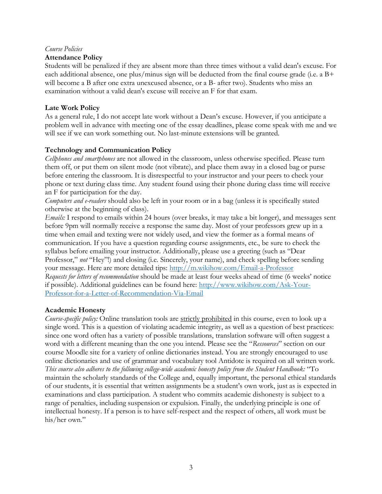# *Course Policies*

# **Attendance Policy**

Students will be penalized if they are absent more than three times without a valid dean's excuse. For each additional absence, one plus/minus sign will be deducted from the final course grade (i.e. a B+ will become a B after one extra unexcused absence, or a B- after two). Students who miss an examination without a valid dean's excuse will receive an F for that exam.

# **Late Work Policy**

As a general rule, I do not accept late work without a Dean's excuse. However, if you anticipate a problem well in advance with meeting one of the essay deadlines, please come speak with me and we will see if we can work something out. No last-minute extensions will be granted.

# **Technology and Communication Policy**

*Cellphones and smartphones* are not allowed in the classroom, unless otherwise specified. Please turn them off, or put them on silent mode (not vibrate), and place them away in a closed bag or purse before entering the classroom. It is disrespectful to your instructor and your peers to check your phone or text during class time. Any student found using their phone during class time will receive an F for participation for the day.

*Computers and e-readers* should also be left in your room or in a bag (unless it is specifically stated otherwise at the beginning of class).

*Emails:* I respond to emails within 24 hours (over breaks, it may take a bit longer), and messages sent before 9pm will normally receive a response the same day. Most of your professors grew up in a time when email and texting were not widely used, and view the former as a formal means of communication. If you have a question regarding course assignments, etc., be sure to check the syllabus before emailing your instructor. Additionally, please use a greeting (such as "Dear Professor," *not* "Hey"!) and closing (i.e. Sincerely, your name), and check spelling before sending your message. Here are more detailed tips:<http://m.wikihow.com/Email-a-Professor> *Requests for letters of recommendation* should be made at least four weeks ahead of time (6 weeks' notice if possible). Additional guidelines can be found here: [http://www.wikihow.com/Ask-Your-](http://www.wikihow.com/Ask-Your-Professor-for-a-Letter-of-Recommendation-Via-Email)[Professor-for-a-Letter-of-Recommendation-Via-Email](http://www.wikihow.com/Ask-Your-Professor-for-a-Letter-of-Recommendation-Via-Email)

# **Academic Honesty**

*Course-specific policy:* Online translation tools are strictly prohibited in this course, even to look up a single word. This is a question of violating academic integrity, as well as a question of best practices: since one word often has a variety of possible translations, translation software will often suggest a word with a different meaning than the one you intend. Please see the "*Ressources*" section on our course Moodle site for a variety of online dictionaries instead. You are strongly encouraged to use online dictionaries and use of grammar and vocabulary tool Antidote is required on all written work. *This course also adheres to the following college-wide academic honesty policy from the Student Handbook:* "To maintain the scholarly standards of the College and, equally important, the personal ethical standards of our students, it is essential that written assignments be a student's own work, just as is expected in examinations and class participation. A student who commits academic dishonesty is subject to a range of penalties, including suspension or expulsion. Finally, the underlying principle is one of intellectual honesty. If a person is to have self-respect and the respect of others, all work must be his/her own."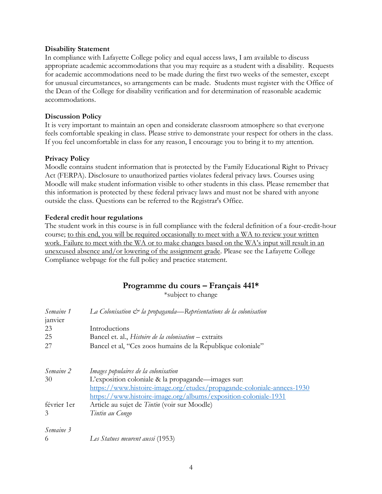## **Disability Statement**

In compliance with Lafayette College policy and equal access laws, I am available to discuss appropriate academic accommodations that you may require as a student with a disability. Requests for academic accommodations need to be made during the first two weeks of the semester, except for unusual circumstances, so arrangements can be made. Students must register with the Office of the Dean of the College for disability verification and for determination of reasonable academic accommodations.

# **Discussion Policy**

It is very important to maintain an open and considerate classroom atmosphere so that everyone feels comfortable speaking in class. Please strive to demonstrate your respect for others in the class. If you feel uncomfortable in class for any reason, I encourage you to bring it to my attention.

## **Privacy Policy**

Moodle contains student information that is protected by the Family Educational Right to Privacy Act (FERPA). Disclosure to unauthorized parties violates federal privacy laws. Courses using Moodle will make student information visible to other students in this class. Please remember that this information is protected by these federal privacy laws and must not be shared with anyone outside the class. Questions can be referred to the Registrar's Office.

## **Federal credit hour regulations**

The student work in this course is in full compliance with the federal definition of a four-credit-hour course; to this end, you will be required occasionally to meet with a WA to review your written work. Failure to meet with the WA or to make changes based on the WA's input will result in an unexcused absence and/or lowering of the assignment grade. Please see the Lafayette College Compliance webpage for the full policy and practice statement.

# **Programme du cours – Français 441\***

\*subject to change

| Semaine 1   | La Colonisation $\mathcal{Q}$ la propaganda—Représentations de la colonisation |
|-------------|--------------------------------------------------------------------------------|
| janvier     |                                                                                |
| 23          | Introductions                                                                  |
| 25          | Bancel et. al., Histoire de la colonisation - extraits                         |
| 27          | Bancel et al, "Ces zoos humains de la Republique coloniale"                    |
| Semaine 2   | Images populaires de la colonisation                                           |
| 30          | L'exposition coloniale & la propagande—images sur:                             |
|             | https://www.histoire-image.org/etudes/propagande-coloniale-annees-1930         |
|             | https://www.histoire-image.org/albums/exposition-coloniale-1931                |
| février 1er | Article au sujet de Tintin (voir sur Moodle)                                   |
| 3           | Tintin au Congo                                                                |
| Semaine 3   |                                                                                |
| 6           | Les Statues meurent aussi (1953)                                               |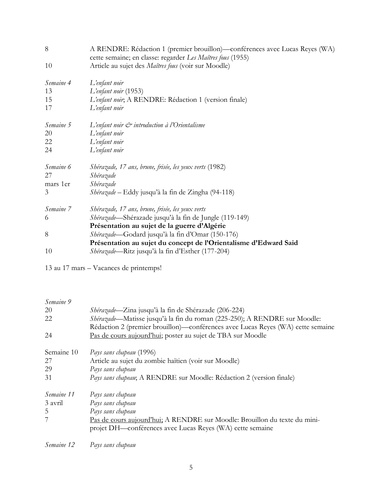| 8         | A RENDRE: Rédaction 1 (premier brouillon)—conférences avec Lucas Reyes (WA)<br>cette semaine; en classe: regarder Les Maîtres fous (1955) |
|-----------|-------------------------------------------------------------------------------------------------------------------------------------------|
| 10        | Article au sujet des Maîtres fous (voir sur Moodle)                                                                                       |
| Semaine 4 | L'enfant noir                                                                                                                             |
| 13        | L'enfant noir (1953)                                                                                                                      |
| 15        | L'enfant noir, A RENDRE: Rédaction 1 (version finale)                                                                                     |
| 17        | L'enfant noir                                                                                                                             |
| Semaine 5 | L'enfant noir $\mathcal O$ introduction à l'Orientalisme                                                                                  |
| 20        | L'enfant noir                                                                                                                             |
| 22        | L'enfant noir                                                                                                                             |
| 24        | L'enfant noir                                                                                                                             |
| Semaine 6 | Shérazade, 17 ans, brune, frisée, les yeux verts (1982)                                                                                   |
| 27        | Shérazade                                                                                                                                 |
| mars 1er  | Shérazade                                                                                                                                 |
| 3         | Shérazade – Eddy jusqu'à la fin de Zingha (94-118)                                                                                        |
| Semaine 7 | Shérazade, 17 ans, brune, frisée, les yeux verts                                                                                          |
| 6         | Shérazade—Shérazade jusqu'à la fin de Jungle (119-149)                                                                                    |
|           | Présentation au sujet de la guerre d'Algérie                                                                                              |
| 8         | Shérazade-Godard jusqu'à la fin d'Omar (150-176)                                                                                          |
|           | Présentation au sujet du concept de l'Orientalisme d'Edward Said                                                                          |
| 10        | Shérazade-Ritz jusqu'à la fin d'Esther (177-204)                                                                                          |

13 au 17 mars – Vacances de printemps!

*Semaine 9*

| 20         | Shérazade—Zina jusqu'à la fin de Shérazade (206-224)                            |
|------------|---------------------------------------------------------------------------------|
| 22         | Shérazade-Matisse jusqu'à la fin du roman (225-250); A RENDRE sur Moodle:       |
|            | Rédaction 2 (premier brouillon)—conférences avec Lucas Reyes (WA) cette semaine |
| 24         | Pas de cours aujourd'hui; poster au sujet de TBA sur Moodle                     |
| Semaine 10 | Pays sans chapeau (1996)                                                        |
| 27         | Article au sujet du zombie haïtien (voir sur Moodle)                            |
| 29         | Pays sans chapeau                                                               |
| 31         | Pays sans chapeau; A RENDRE sur Moodle: Rédaction 2 (version finale)            |
| Semaine 11 | Pays sans chapeau                                                               |
| 3 avril    | Pays sans chapeau                                                               |
| 5          | Pays sans chapeau                                                               |
|            | Pas de cours aujourd'hui; A RENDRE sur Moodle: Brouillon du texte du mini-      |
|            | projet DH—conférences avec Lucas Reyes (WA) cette semaine                       |
|            |                                                                                 |

*Semaine 12 Pays sans chapeau*